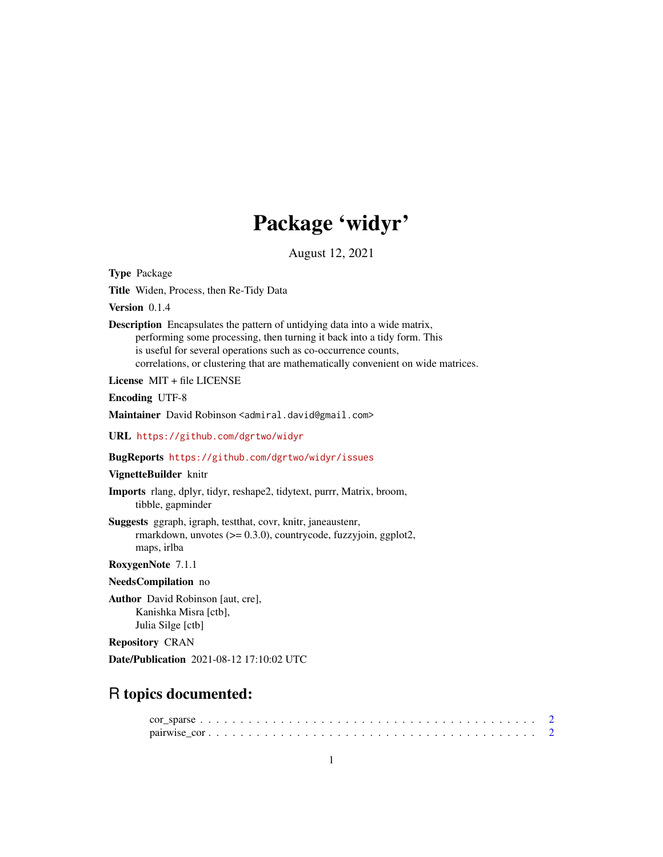# Package 'widyr'

August 12, 2021

<span id="page-0-0"></span>Type Package

Title Widen, Process, then Re-Tidy Data

Version 0.1.4

Description Encapsulates the pattern of untidying data into a wide matrix, performing some processing, then turning it back into a tidy form. This is useful for several operations such as co-occurrence counts, correlations, or clustering that are mathematically convenient on wide matrices.

License MIT + file LICENSE

Encoding UTF-8

Maintainer David Robinson <admiral.david@gmail.com>

URL <https://github.com/dgrtwo/widyr>

BugReports <https://github.com/dgrtwo/widyr/issues>

#### VignetteBuilder knitr

Imports rlang, dplyr, tidyr, reshape2, tidytext, purrr, Matrix, broom, tibble, gapminder

Suggests ggraph, igraph, testthat, covr, knitr, janeaustenr, rmarkdown, unvotes (>= 0.3.0), countrycode, fuzzyjoin, ggplot2, maps, irlba

# RoxygenNote 7.1.1

NeedsCompilation no

Author David Robinson [aut, cre], Kanishka Misra [ctb], Julia Silge [ctb]

Repository CRAN

Date/Publication 2021-08-12 17:10:02 UTC

# R topics documented: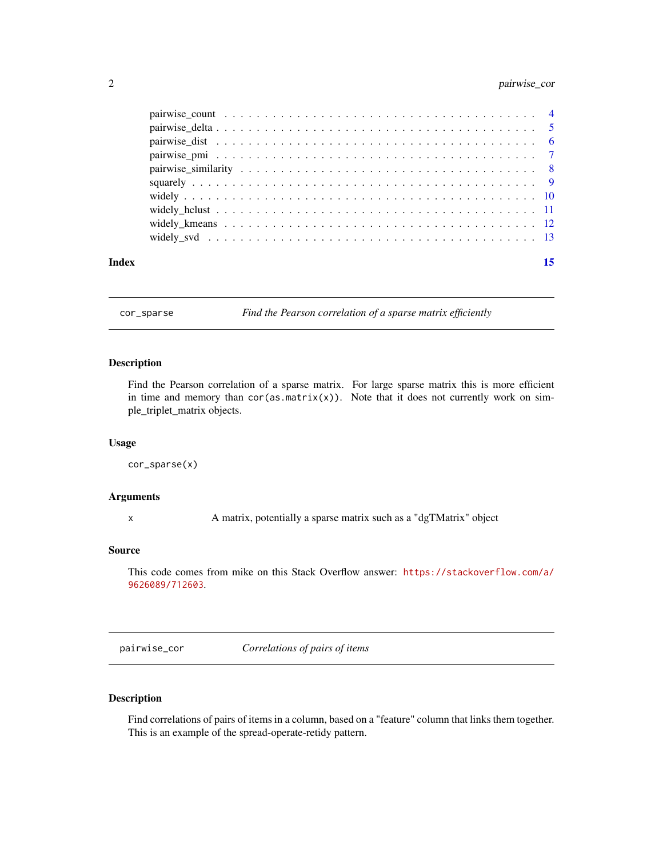# <span id="page-1-0"></span>2 pairwise\_cor

| Index | 15 |
|-------|----|

cor\_sparse *Find the Pearson correlation of a sparse matrix efficiently*

### Description

Find the Pearson correlation of a sparse matrix. For large sparse matrix this is more efficient in time and memory than  $cor(as.matrix(x))$ . Note that it does not currently work on simple\_triplet\_matrix objects.

#### Usage

cor\_sparse(x)

#### Arguments

x A matrix, potentially a sparse matrix such as a "dgTMatrix" object

#### Source

This code comes from mike on this Stack Overflow answer: [https://stackoverflow.com/a/](https://stackoverflow.com/a/9626089/712603) [9626089/712603](https://stackoverflow.com/a/9626089/712603).

<span id="page-1-1"></span>pairwise\_cor *Correlations of pairs of items*

# Description

Find correlations of pairs of items in a column, based on a "feature" column that links them together. This is an example of the spread-operate-retidy pattern.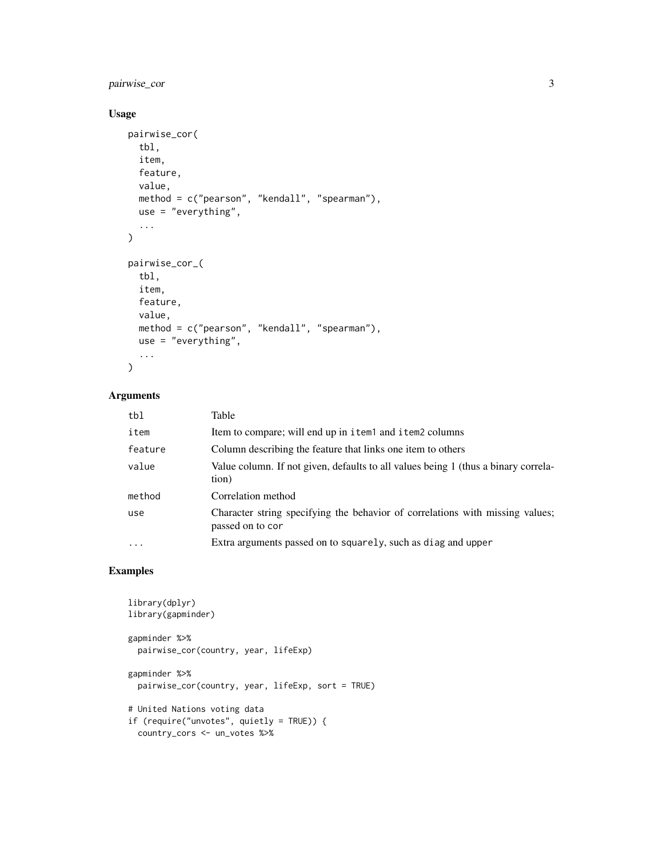# pairwise\_cor 3

# Usage

```
pairwise_cor(
  tbl,
  item,
  feature,
  value,
  method = c("pearson", "kendall", "spearman"),
  use = "everything",
  ...
\lambdapairwise_cor_(
  tbl,
  item,
  feature,
  value,
  method = c("pearson", "kendall", "spearman"),
  use = "everything",
  ...
\mathcal{L}
```
# Arguments

| tbl     | Table                                                                                             |
|---------|---------------------------------------------------------------------------------------------------|
| item    | Item to compare; will end up in item1 and item2 columns                                           |
| feature | Column describing the feature that links one item to others                                       |
| value   | Value column. If not given, defaults to all values being 1 (thus a binary correla-<br>tion)       |
| method  | Correlation method                                                                                |
| use     | Character string specifying the behavior of correlations with missing values;<br>passed on to cor |
| $\cdot$ | Extra arguments passed on to squarely, such as diag and upper                                     |

# Examples

```
library(dplyr)
library(gapminder)
gapminder %>%
  pairwise_cor(country, year, lifeExp)
gapminder %>%
  pairwise_cor(country, year, lifeExp, sort = TRUE)
# United Nations voting data
if (require("unvotes", quietly = TRUE)) {
  country_cors <- un_votes %>%
```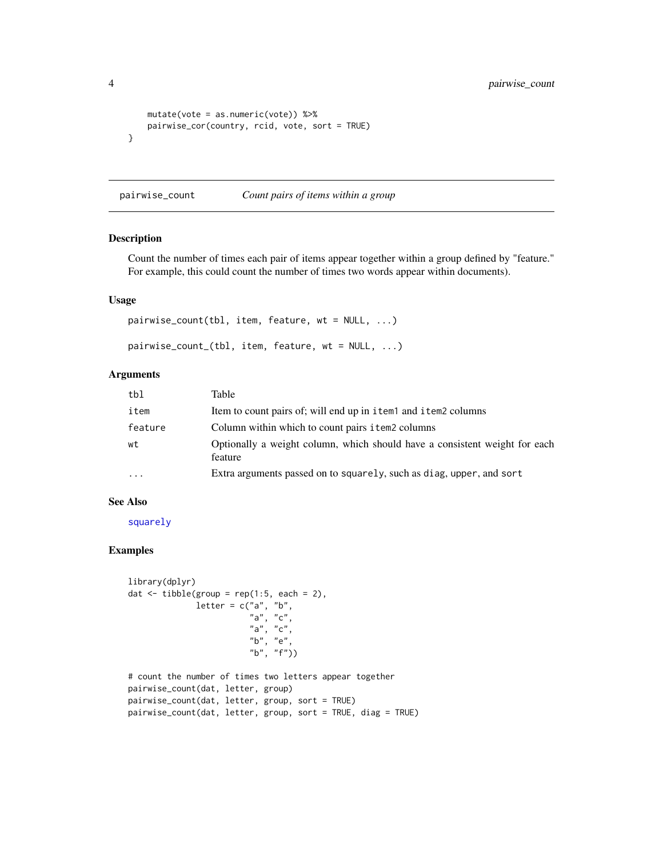```
mutate(vote = as.numeric(vote)) %>%
   pairwise_cor(country, rcid, vote, sort = TRUE)
}
```
<span id="page-3-1"></span>pairwise\_count *Count pairs of items within a group*

# Description

Count the number of times each pair of items appear together within a group defined by "feature." For example, this could count the number of times two words appear within documents).

#### Usage

pairwise\_count(tbl, item, feature, wt = NULL, ...) pairwise\_count\_(tbl, item, feature, wt = NULL, ...)

# Arguments

| tbl      | Table                                                                                 |
|----------|---------------------------------------------------------------------------------------|
| item     | Item to count pairs of; will end up in item1 and item2 columns                        |
| feature  | Column within which to count pairs i tem2 columns                                     |
| wt       | Optionally a weight column, which should have a consistent weight for each<br>feature |
| $\cdots$ | Extra arguments passed on to squarely, such as diag, upper, and sort                  |

#### See Also

[squarely](#page-8-1)

#### Examples

```
library(dplyr)
dat \le tibble(group = rep(1:5, each = 2),
              letter = c("a", "b","a", "c",
                          "a", "c",
                          "b", "e",
                          "b", "f"))
# count the number of times two letters appear together
pairwise_count(dat, letter, group)
pairwise_count(dat, letter, group, sort = TRUE)
pairwise_count(dat, letter, group, sort = TRUE, diag = TRUE)
```
<span id="page-3-0"></span>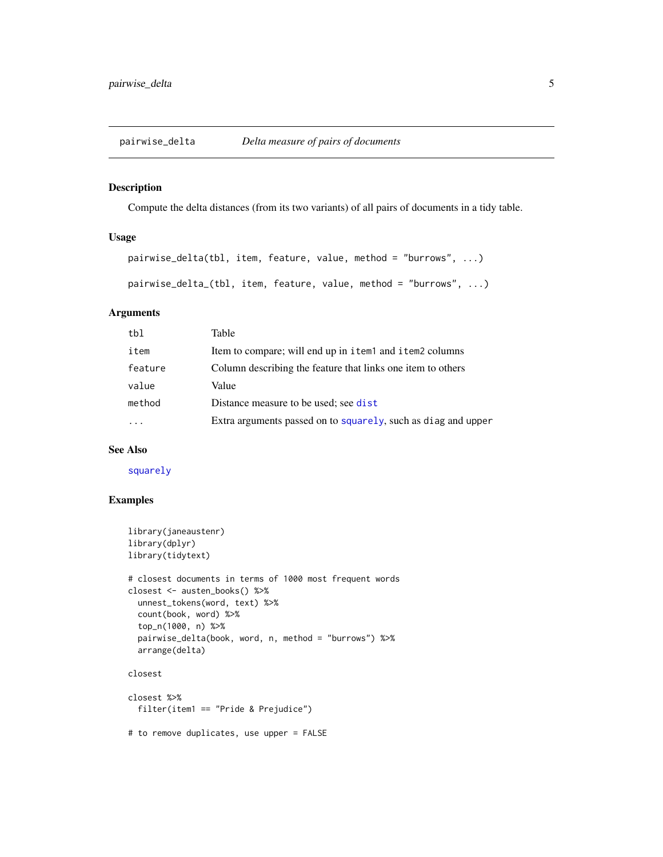<span id="page-4-0"></span>pairwise\_delta *Delta measure of pairs of documents*

#### Description

Compute the delta distances (from its two variants) of all pairs of documents in a tidy table.

# Usage

```
pairwise_delta(tbl, item, feature, value, method = "burrows", ...)
pairwise_delta_(tbl, item, feature, value, method = "burrows", ...)
```
#### Arguments

| tbl     | Table                                                         |
|---------|---------------------------------------------------------------|
| item    | Item to compare; will end up in item1 and item2 columns       |
| feature | Column describing the feature that links one item to others   |
| value   | Value                                                         |
| method  | Distance measure to be used; see dist                         |
|         | Extra arguments passed on to squarely, such as diag and upper |
|         |                                                               |

## See Also

[squarely](#page-8-1)

# Examples

```
library(janeaustenr)
library(dplyr)
library(tidytext)
# closest documents in terms of 1000 most frequent words
closest <- austen_books() %>%
  unnest_tokens(word, text) %>%
  count(book, word) %>%
  top_n(1000, n) %>%
  pairwise_delta(book, word, n, method = "burrows") %>%
  arrange(delta)
closest
closest %>%
  filter(item1 == "Pride & Prejudice")
# to remove duplicates, use upper = FALSE
```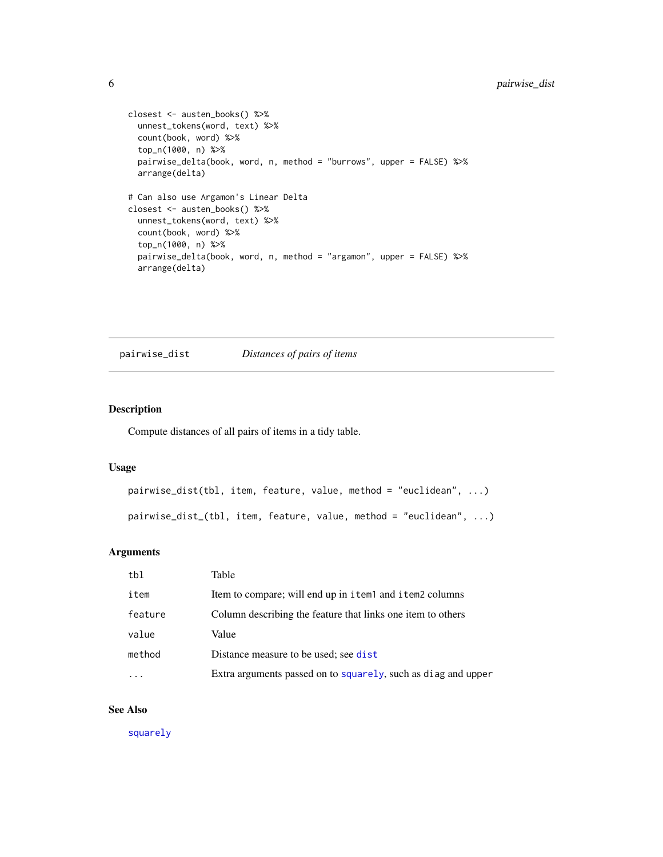```
closest <- austen_books() %>%
  unnest_tokens(word, text) %>%
  count(book, word) %>%
  top_n(1000, n) %>%
  pairwise_delta(book, word, n, method = "burrows", upper = FALSE) %>%
  arrange(delta)
# Can also use Argamon's Linear Delta
closest <- austen_books() %>%
  unnest_tokens(word, text) %>%
  count(book, word) %>%
  top_n(1000, n) %>%
  pairwise_delta(book, word, n, method = "argamon", upper = FALSE) %>%
  arrange(delta)
```
<span id="page-5-1"></span>pairwise\_dist *Distances of pairs of items*

#### Description

Compute distances of all pairs of items in a tidy table.

#### Usage

```
pairwise_dist(tbl, item, feature, value, method = "euclidean", ...)
pairwise_dist_(tbl, item, feature, value, method = "euclidean", ...)
```
# Arguments

| tbl     | Table                                                         |
|---------|---------------------------------------------------------------|
| item    | Item to compare; will end up in item1 and item2 columns       |
| feature | Column describing the feature that links one item to others   |
| value   | Value                                                         |
| method  | Distance measure to be used; see dist                         |
|         | Extra arguments passed on to squarely, such as diag and upper |

# See Also

[squarely](#page-8-1)

<span id="page-5-0"></span>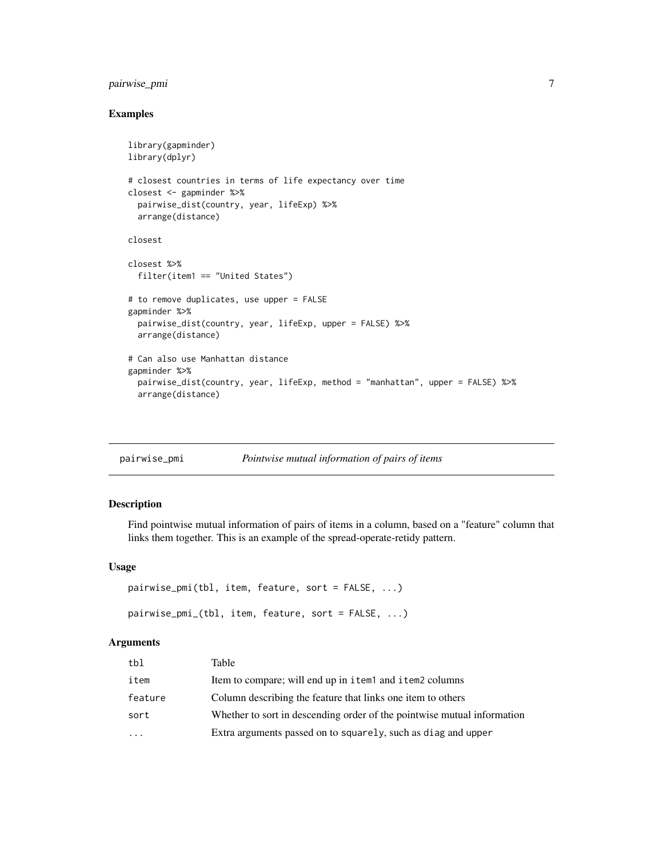# <span id="page-6-0"></span>pairwise\_pmi 7

#### Examples

```
library(gapminder)
library(dplyr)
# closest countries in terms of life expectancy over time
closest <- gapminder %>%
  pairwise_dist(country, year, lifeExp) %>%
  arrange(distance)
closest
closest %>%
  filter(item1 == "United States")
# to remove duplicates, use upper = FALSE
gapminder %>%
  pairwise_dist(country, year, lifeExp, upper = FALSE) %>%
  arrange(distance)
# Can also use Manhattan distance
gapminder %>%
  pairwise_dist(country, year, lifeExp, method = "manhattan", upper = FALSE) %>%
  arrange(distance)
```

| pairwise_pmi | Pointwise mutual information of pairs of items |  |  |
|--------------|------------------------------------------------|--|--|
|              |                                                |  |  |

#### Description

Find pointwise mutual information of pairs of items in a column, based on a "feature" column that links them together. This is an example of the spread-operate-retidy pattern.

#### Usage

```
pairwise_pmi(tbl, item, feature, sort = FALSE, ...)
pairwise_pmi_(tbl, item, feature, sort = FALSE, ...)
```
# Arguments

| tbl       | Table                                                                   |
|-----------|-------------------------------------------------------------------------|
| item      | Item to compare; will end up in item and item 2 columns                 |
| feature   | Column describing the feature that links one item to others             |
| sort      | Whether to sort in descending order of the pointwise mutual information |
| $\ddotsc$ | Extra arguments passed on to squarely, such as diag and upper           |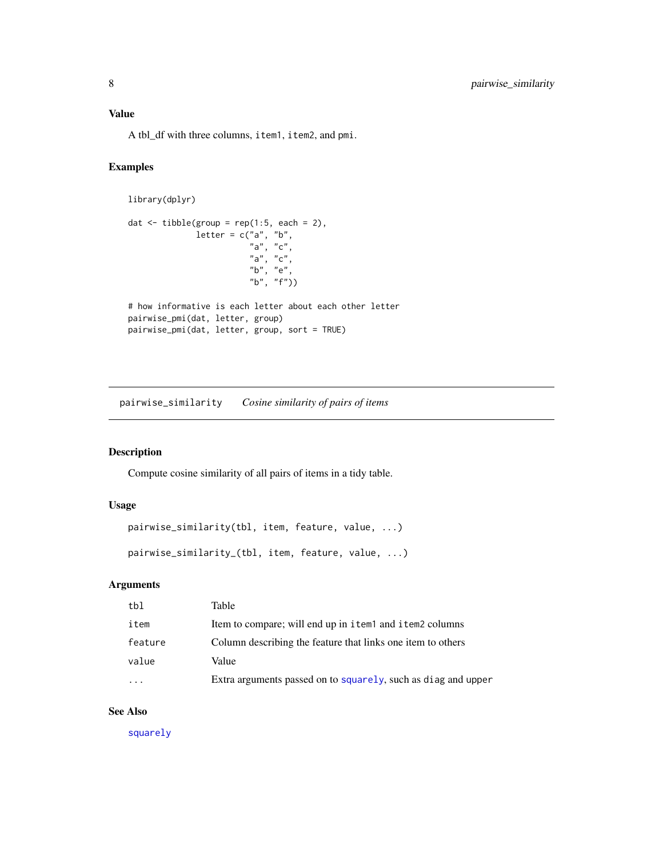<span id="page-7-0"></span>A tbl\_df with three columns, item1, item2, and pmi.

# Examples

```
library(dplyr)
dat \leftarrow tibble(group = rep(1:5, each = 2),
```

```
letter = c("a", "b","a", "c",
                          "a", "c",
                          "b", "e",
                          "b", "f"))
# how informative is each letter about each other letter
pairwise_pmi(dat, letter, group)
pairwise_pmi(dat, letter, group, sort = TRUE)
```
pairwise\_similarity *Cosine similarity of pairs of items*

# Description

Compute cosine similarity of all pairs of items in a tidy table.

# Usage

```
pairwise_similarity(tbl, item, feature, value, ...)
pairwise_similarity_(tbl, item, feature, value, ...)
```
# Arguments

| tbl     | Table                                                         |
|---------|---------------------------------------------------------------|
| item    | Item to compare; will end up in item and item 2 columns       |
| feature | Column describing the feature that links one item to others   |
| value   | Value                                                         |
|         | Extra arguments passed on to squarely, such as diag and upper |
|         |                                                               |

#### See Also

[squarely](#page-8-1)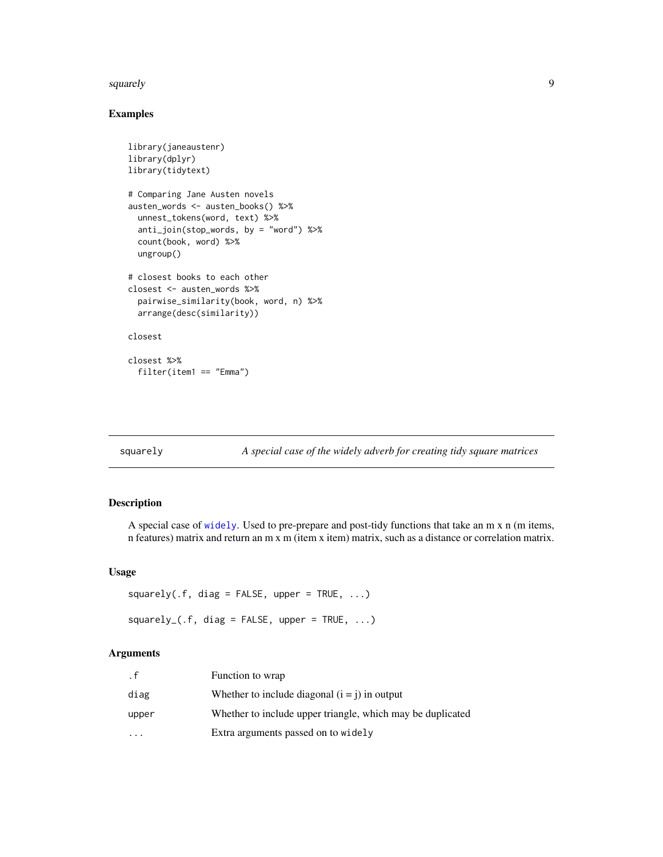#### <span id="page-8-0"></span>squarely 9

# Examples

```
library(janeaustenr)
library(dplyr)
library(tidytext)
# Comparing Jane Austen novels
austen_words <- austen_books() %>%
  unnest_tokens(word, text) %>%
  anti_join(stop_words, by = "word") %>%
  count(book, word) %>%
  ungroup()
# closest books to each other
closest <- austen_words %>%
  pairwise_similarity(book, word, n) %>%
  arrange(desc(similarity))
closest
closest %>%
  filter(item1 == "Emma")
```
<span id="page-8-1"></span>

squarely *A special case of the widely adverb for creating tidy square matrices*

# Description

A special case of [widely](#page-9-1). Used to pre-prepare and post-tidy functions that take an m x n (m items, n features) matrix and return an m x m (item x item) matrix, such as a distance or correlation matrix.

## Usage

```
squarey(.f, diag = FALSE, upper = TRUE, ...)squarey_{(f, \text{diag} = \text{FALSE}, \text{upper} = \text{TRUE}, \dots)
```
#### Arguments

| . f                     | Function to wrap                                           |
|-------------------------|------------------------------------------------------------|
| diag                    | Whether to include diagonal $(i = j)$ in output            |
| upper                   | Whether to include upper triangle, which may be duplicated |
| $\cdot$ $\cdot$ $\cdot$ | Extra arguments passed on to widely                        |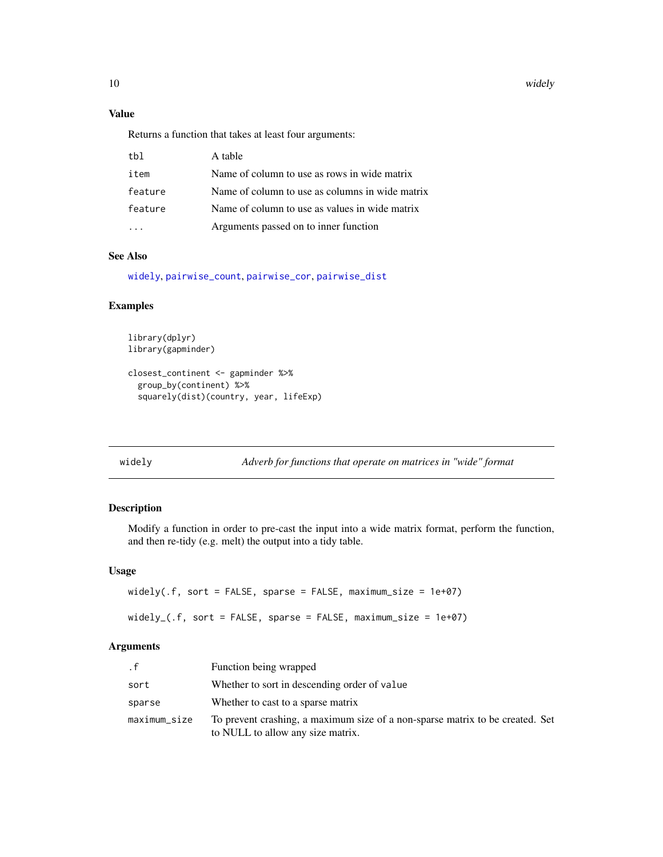10 widely

# Value

Returns a function that takes at least four arguments:

| tbl     | A table                                         |
|---------|-------------------------------------------------|
| item    | Name of column to use as rows in wide matrix    |
| feature | Name of column to use as columns in wide matrix |
| feature | Name of column to use as values in wide matrix  |
|         | Arguments passed on to inner function           |

# See Also

[widely](#page-9-1), [pairwise\\_count](#page-3-1), [pairwise\\_cor](#page-1-1), [pairwise\\_dist](#page-5-1)

## Examples

```
library(dplyr)
library(gapminder)
```

```
closest_continent <- gapminder %>%
  group_by(continent) %>%
  squarely(dist)(country, year, lifeExp)
```
<span id="page-9-1"></span>widely *Adverb for functions that operate on matrices in "wide" format*

# Description

Modify a function in order to pre-cast the input into a wide matrix format, perform the function, and then re-tidy (e.g. melt) the output into a tidy table.

# Usage

```
widely(.f, sort = FALSE, sparse = FALSE, maximum_size = 1e+07)
widely_(.f, sort = FALSE, sparse = FALSE, maximum_size = 1e+07)
```
# Arguments

| . f          | Function being wrapped                                                                                             |
|--------------|--------------------------------------------------------------------------------------------------------------------|
| sort         | Whether to sort in descending order of value                                                                       |
| sparse       | Whether to cast to a sparse matrix                                                                                 |
| maximum_size | To prevent crashing, a maximum size of a non-sparse matrix to be created. Set<br>to NULL to allow any size matrix. |

<span id="page-9-0"></span>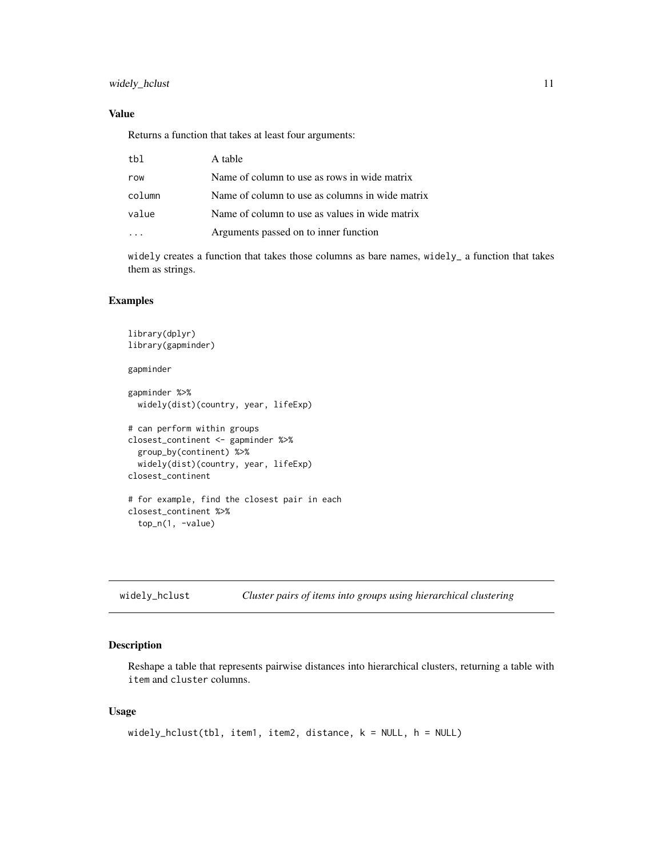#### <span id="page-10-0"></span>Value

Returns a function that takes at least four arguments:

| tbl    | A table                                         |
|--------|-------------------------------------------------|
| row    | Name of column to use as rows in wide matrix    |
| column | Name of column to use as columns in wide matrix |
| value  | Name of column to use as values in wide matrix  |
|        | Arguments passed on to inner function           |
|        |                                                 |

widely creates a function that takes those columns as bare names, widely\_ a function that takes them as strings.

#### Examples

```
library(dplyr)
library(gapminder)
gapminder
gapminder %>%
 widely(dist)(country, year, lifeExp)
# can perform within groups
closest_continent <- gapminder %>%
 group_by(continent) %>%
 widely(dist)(country, year, lifeExp)
closest_continent
# for example, find the closest pair in each
closest_continent %>%
 top_n(1, -value)
```
<span id="page-10-1"></span>widely\_hclust *Cluster pairs of items into groups using hierarchical clustering*

#### Description

Reshape a table that represents pairwise distances into hierarchical clusters, returning a table with item and cluster columns.

#### Usage

```
widely_hclust(tbl, item1, item2, distance, k = NULL, h = NULL)
```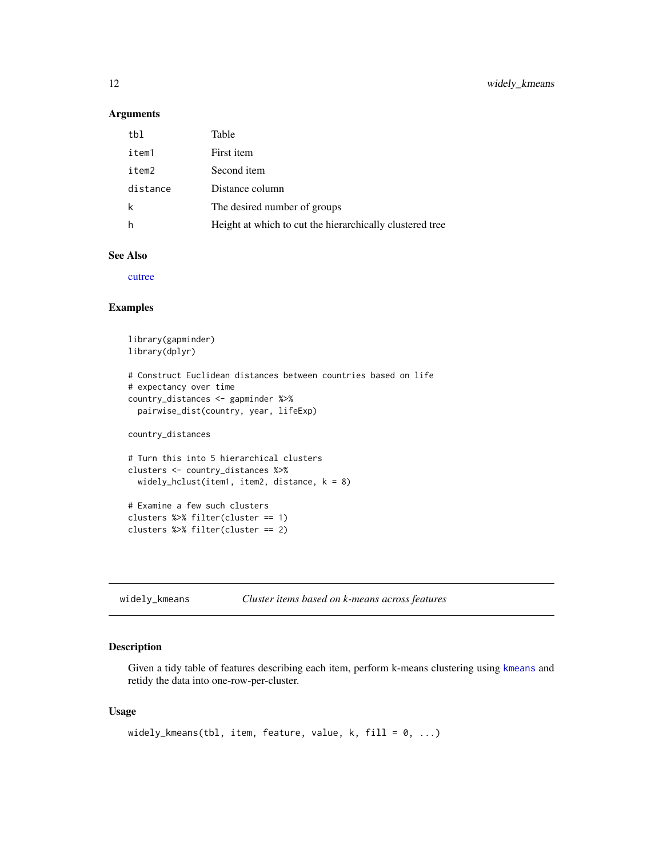#### <span id="page-11-0"></span>Arguments

| tbl      | Table                                                    |
|----------|----------------------------------------------------------|
| item1    | First item                                               |
| item2    | Second <i>item</i>                                       |
| distance | Distance column                                          |
| k        | The desired number of groups                             |
| h        | Height at which to cut the hierarchically clustered tree |

### See Also

[cutree](#page-0-0)

#### Examples

```
library(gapminder)
library(dplyr)
# Construct Euclidean distances between countries based on life
# expectancy over time
country_distances <- gapminder %>%
  pairwise_dist(country, year, lifeExp)
country_distances
# Turn this into 5 hierarchical clusters
clusters <- country_distances %>%
  widely_hclust(item1, item2, distance, k = 8)
# Examine a few such clusters
clusters %>% filter(cluster == 1)
clusters %>% filter(cluster == 2)
```

```
widely_kmeans Cluster items based on k-means across features
```
#### Description

Given a tidy table of features describing each item, perform k-means clustering using [kmeans](#page-0-0) and retidy the data into one-row-per-cluster.

#### Usage

```
widely_kmeans(tbl, item, feature, value, k, fill = 0, ...)
```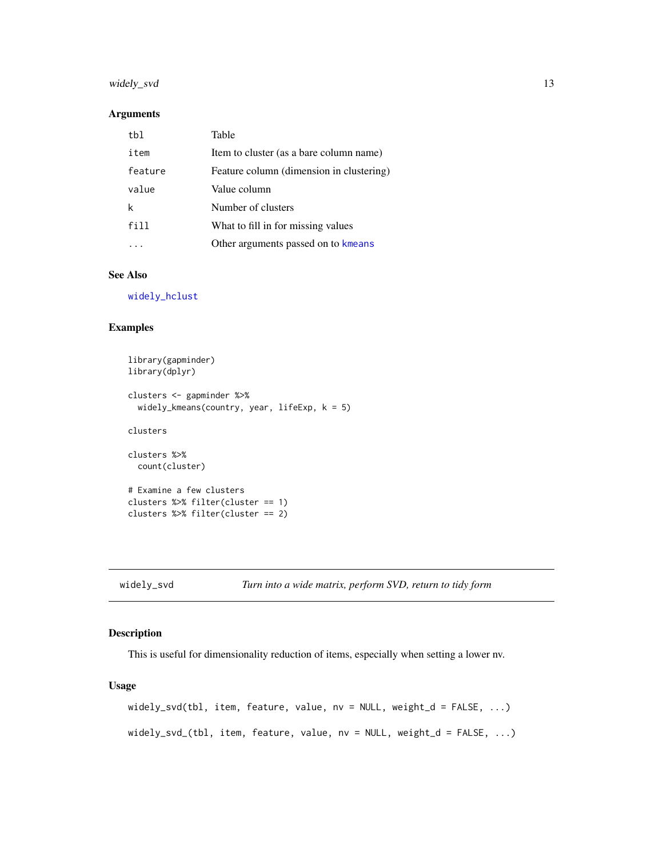# <span id="page-12-0"></span>widely\_svd 13

#### Arguments

| tbl     | Table                                    |
|---------|------------------------------------------|
| item    | Item to cluster (as a bare column name)  |
| feature | Feature column (dimension in clustering) |
| value   | Value column                             |
| k       | Number of clusters                       |
| fill    | What to fill in for missing values       |
|         | Other arguments passed on to kmeans      |

# See Also

[widely\\_hclust](#page-10-1)

# Examples

```
library(gapminder)
library(dplyr)
clusters <- gapminder %>%
  widely_kmeans(country, year, lifeExp, k = 5)
clusters
clusters %>%
  count(cluster)
# Examine a few clusters
clusters %>% filter(cluster == 1)
clusters %>% filter(cluster == 2)
```

|  | widely_svd |
|--|------------|
|  |            |

Turn into a wide matrix, perform SVD, return to tidy form

# Description

This is useful for dimensionality reduction of items, especially when setting a lower nv.

#### Usage

```
widely_svd(tbl, item, feature, value, nv = NULL, weight_d = FALSE, ...)
widely_svd_(tbl, item, feature, value, nv = NULL, weight_d = FALSE, ...)
```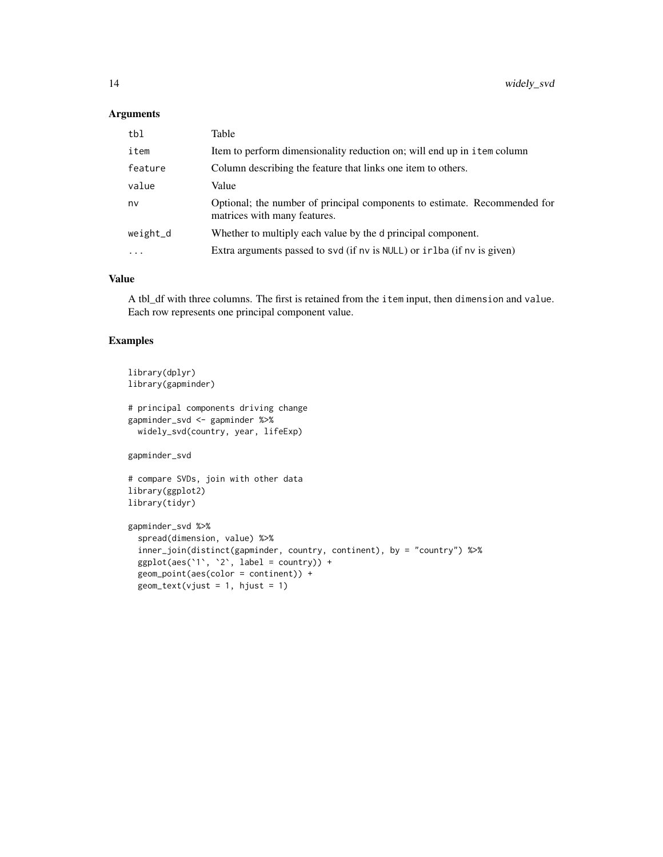## Arguments

| tbl      | Table                                                                                                     |
|----------|-----------------------------------------------------------------------------------------------------------|
| item     | Item to perform dimensionality reduction on; will end up in item column                                   |
| feature  | Column describing the feature that links one item to others.                                              |
| value    | Value                                                                                                     |
| nv       | Optional; the number of principal components to estimate. Recommended for<br>matrices with many features. |
| weight_d | Whether to multiply each value by the d principal component.                                              |
| .        | Extra arguments passed to svd (if nv is NULL) or in the (if nv is given)                                  |

# Value

A tbl\_df with three columns. The first is retained from the item input, then dimension and value. Each row represents one principal component value.

# Examples

```
library(dplyr)
library(gapminder)
```

```
# principal components driving change
gapminder_svd <- gapminder %>%
 widely_svd(country, year, lifeExp)
```
gapminder\_svd

```
# compare SVDs, join with other data
library(ggplot2)
library(tidyr)
```

```
gapminder_svd %>%
 spread(dimension, value) %>%
 inner_join(distinct(gapminder, country, continent), by = "country") %>%
 ggplot(aes('1', '2', label = country)) +geom_point(aes(color = continent)) +
 geom\_text(vjust = 1, hjust = 1)
```